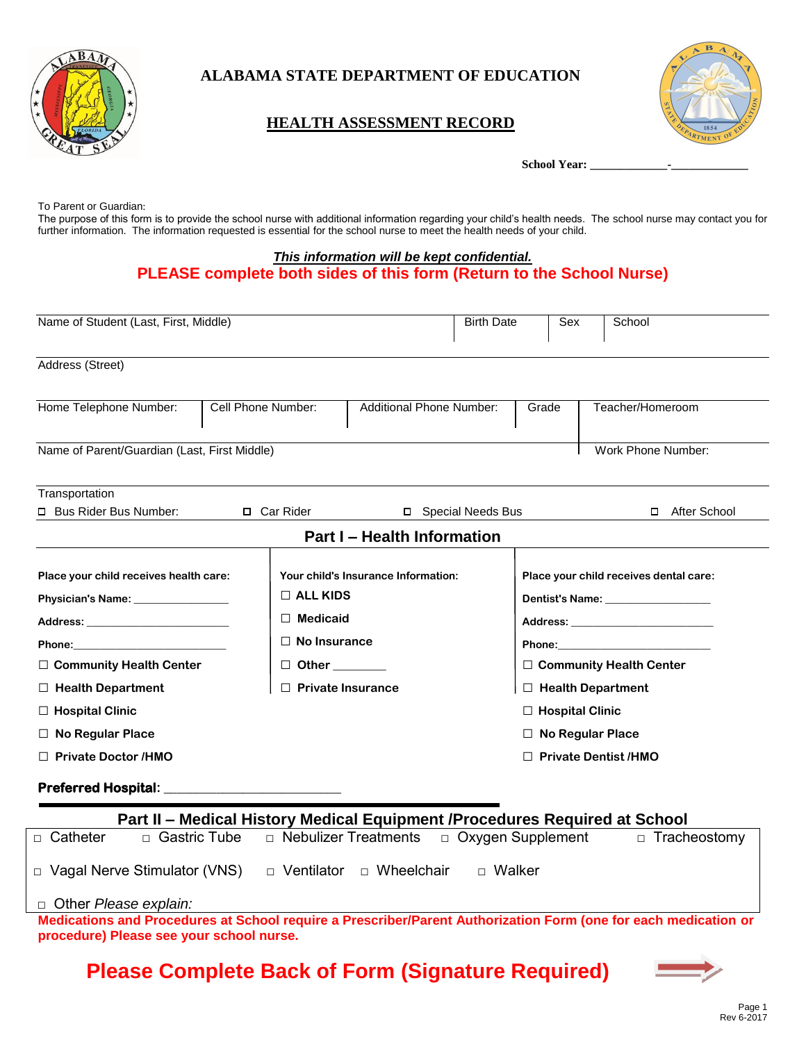

### **ALABAMA STATE DEPARTMENT OF EDUCATION**

### **HEALTH ASSESSMENT RECORD**



School Year:

To Parent or Guardian:

The purpose of this form is to provide the school nurse with additional information regarding your child's health needs. The school nurse may contact you for further information. The information requested is essential for the school nurse to meet the health needs of your child.

#### *This information will be kept confidential.*

### **PLEASE complete both sides of this form (Return to the School Nurse)**

| Name of Student (Last, First, Middle)                                                                                                                                                                                               |                    |                                     | <b>Birth Date</b> | Sex                       | School                                   |  |
|-------------------------------------------------------------------------------------------------------------------------------------------------------------------------------------------------------------------------------------|--------------------|-------------------------------------|-------------------|---------------------------|------------------------------------------|--|
| Address (Street)                                                                                                                                                                                                                    |                    |                                     |                   |                           |                                          |  |
| Home Telephone Number:                                                                                                                                                                                                              | Cell Phone Number: | <b>Additional Phone Number:</b>     |                   | Grade                     | Teacher/Homeroom                         |  |
| Name of Parent/Guardian (Last, First Middle)                                                                                                                                                                                        |                    |                                     |                   |                           | Work Phone Number:                       |  |
| Transportation                                                                                                                                                                                                                      |                    |                                     |                   |                           |                                          |  |
| □ Bus Rider Bus Number:<br>□ Car Rider<br>□ Special Needs Bus                                                                                                                                                                       |                    |                                     |                   | After School<br>$\Box$    |                                          |  |
|                                                                                                                                                                                                                                     |                    | <b>Part I - Health Information</b>  |                   |                           |                                          |  |
| Place your child receives health care:                                                                                                                                                                                              |                    | Your child's Insurance Information: |                   |                           | Place your child receives dental care:   |  |
|                                                                                                                                                                                                                                     | $\Box$ ALL KIDS    |                                     |                   |                           | Dentist's Name: Name and Dentist's Name: |  |
| Address: Andreas Address Address and Address Address Address Address Address Address Address Address Address A                                                                                                                      | $\Box$ Medicaid    |                                     |                   |                           |                                          |  |
| <b>Phone:</b> The contract of the contract of the contract of the contract of the contract of the contract of the contract of the contract of the contract of the contract of the contract of the contract of the contract of the c |                    | $\Box$ No Insurance<br>$\Box$ Other |                   | Phone: New York Phone:    |                                          |  |
| □ Community Health Center                                                                                                                                                                                                           |                    |                                     |                   | □ Community Health Center |                                          |  |
| $\Box$ Health Department                                                                                                                                                                                                            |                    | $\Box$ Private Insurance            |                   | $\Box$ Health Department  |                                          |  |
| $\Box$ Hospital Clinic                                                                                                                                                                                                              |                    |                                     |                   | $\Box$ Hospital Clinic    |                                          |  |
| $\Box$ No Regular Place                                                                                                                                                                                                             |                    |                                     |                   | $\Box$ No Regular Place   |                                          |  |
| $\Box$ Private Doctor /HMO                                                                                                                                                                                                          |                    |                                     |                   |                           | $\Box$ Private Dentist /HMO              |  |
| <b>Preferred Hospital:</b>                                                                                                                                                                                                          |                    |                                     |                   |                           |                                          |  |

# **Part II – Medical History Medical Equipment /Procedures Required at School** □ Catheter □ Gastric Tube □ Nebulizer Treatments □ Oxygen Supplement □ Tracheostomy □ Vagal Nerve Stimulator (VNS) □ Ventilator □ Wheelchair □ Walker □ Other *Please explain:*

**Medications and Procedures at School require a Prescriber/Parent Authorization Form (one for each medication or procedure) Please see your school nurse.**

# **Please Complete Back of Form (Signature Required)**